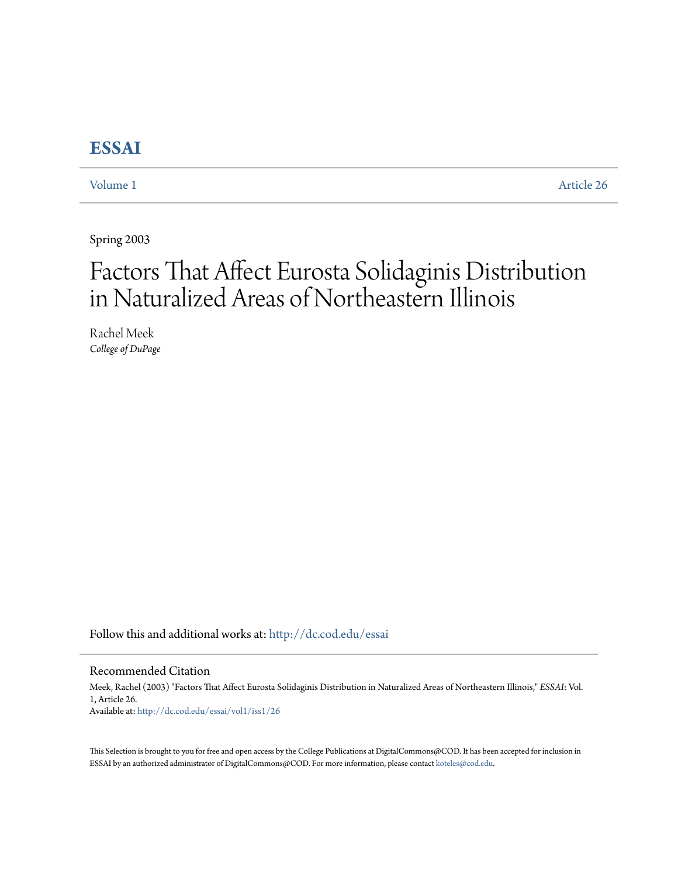# **[ESSAI](http://dc.cod.edu/essai?utm_source=dc.cod.edu%2Fessai%2Fvol1%2Fiss1%2F26&utm_medium=PDF&utm_campaign=PDFCoverPages)**

[Volume 1](http://dc.cod.edu/essai/vol1?utm_source=dc.cod.edu%2Fessai%2Fvol1%2Fiss1%2F26&utm_medium=PDF&utm_campaign=PDFCoverPages) [Article 26](http://dc.cod.edu/essai/vol1/iss1/26?utm_source=dc.cod.edu%2Fessai%2Fvol1%2Fiss1%2F26&utm_medium=PDF&utm_campaign=PDFCoverPages)

Spring 2003

# Factors That Affect Eurosta Solidaginis Distribution in Naturalized Areas of Northeastern Illinois

Rachel Meek *College of DuPage*

Follow this and additional works at: [http://dc.cod.edu/essai](http://dc.cod.edu/essai?utm_source=dc.cod.edu%2Fessai%2Fvol1%2Fiss1%2F26&utm_medium=PDF&utm_campaign=PDFCoverPages)

# Recommended Citation

Meek, Rachel (2003) "Factors That Affect Eurosta Solidaginis Distribution in Naturalized Areas of Northeastern Illinois," *ESSAI*: Vol. 1, Article 26. Available at: [http://dc.cod.edu/essai/vol1/iss1/26](http://dc.cod.edu/essai/vol1/iss1/26?utm_source=dc.cod.edu%2Fessai%2Fvol1%2Fiss1%2F26&utm_medium=PDF&utm_campaign=PDFCoverPages)

This Selection is brought to you for free and open access by the College Publications at DigitalCommons@COD. It has been accepted for inclusion in ESSAI by an authorized administrator of DigitalCommons@COD. For more information, please contact [koteles@cod.edu](mailto:koteles@cod.edu).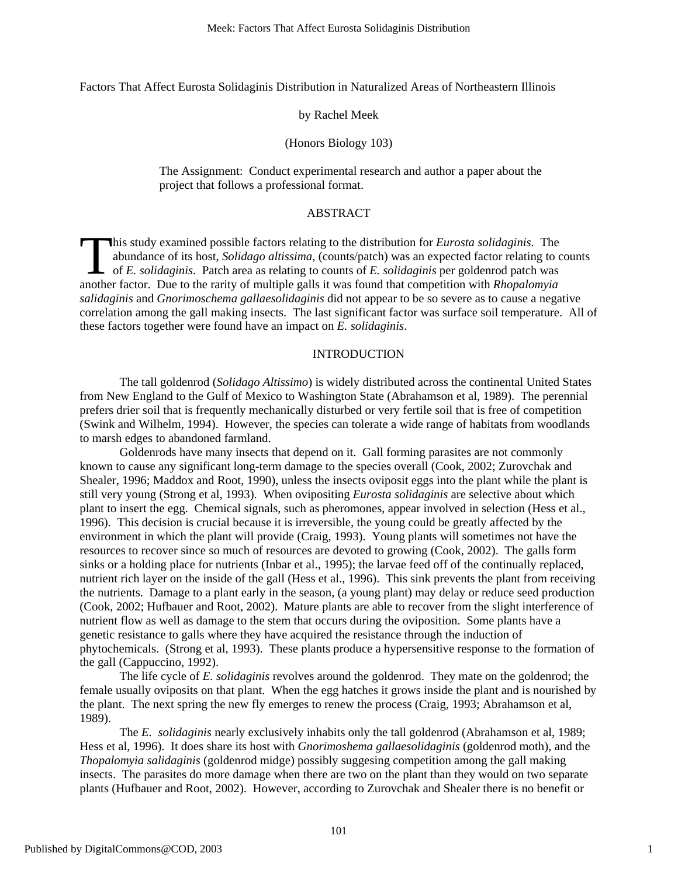Factors That Affect Eurosta Solidaginis Distribution in Naturalized Areas of Northeastern Illinois

## by Rachel Meek

### (Honors Biology 103)

The Assignment: Conduct experimental research and author a paper about the project that follows a professional format.

# ABSTRACT

his study examined possible factors relating to the distribution for *Eurosta solidaginis.* The abundance of its host, *Solidago altissima*, (counts/patch) was an expected factor relating to counts of *E. solidaginis*. Patch area as relating to counts of *E. solidaginis* per goldenrod patch was This study examined possible factors relating to the distribution for *Eurosta solidaginis*. The abundance of its host, *Solidago altissima*, (counts/patch) was an expected factor relating to competition of *E. solidaginis salidaginis* and *Gnorimoschema gallaesolidaginis* did not appear to be so severe as to cause a negative correlation among the gall making insects. The last significant factor was surface soil temperature. All of these factors together were found have an impact on *E. solidaginis*.

# INTRODUCTION

The tall goldenrod (*Solidago Altissimo*) is widely distributed across the continental United States from New England to the Gulf of Mexico to Washington State (Abrahamson et al, 1989). The perennial prefers drier soil that is frequently mechanically disturbed or very fertile soil that is free of competition (Swink and Wilhelm, 1994). However, the species can tolerate a wide range of habitats from woodlands to marsh edges to abandoned farmland.

Goldenrods have many insects that depend on it. Gall forming parasites are not commonly known to cause any significant long-term damage to the species overall (Cook, 2002; Zurovchak and Shealer, 1996; Maddox and Root, 1990), unless the insects oviposit eggs into the plant while the plant is still very young (Strong et al, 1993). When ovipositing *Eurosta solidaginis* are selective about which plant to insert the egg. Chemical signals, such as pheromones, appear involved in selection (Hess et al., 1996). This decision is crucial because it is irreversible, the young could be greatly affected by the environment in which the plant will provide (Craig, 1993). Young plants will sometimes not have the resources to recover since so much of resources are devoted to growing (Cook, 2002). The galls form sinks or a holding place for nutrients (Inbar et al., 1995); the larvae feed off of the continually replaced, nutrient rich layer on the inside of the gall (Hess et al., 1996). This sink prevents the plant from receiving the nutrients. Damage to a plant early in the season, (a young plant) may delay or reduce seed production (Cook, 2002; Hufbauer and Root, 2002). Mature plants are able to recover from the slight interference of nutrient flow as well as damage to the stem that occurs during the oviposition. Some plants have a genetic resistance to galls where they have acquired the resistance through the induction of phytochemicals. (Strong et al, 1993). These plants produce a hypersensitive response to the formation of the gall (Cappuccino, 1992).

The life cycle of *E. solidaginis* revolves around the goldenrod. They mate on the goldenrod; the female usually oviposits on that plant. When the egg hatches it grows inside the plant and is nourished by the plant. The next spring the new fly emerges to renew the process (Craig, 1993; Abrahamson et al, 1989).

 The *E. solidaginis* nearly exclusively inhabits only the tall goldenrod (Abrahamson et al, 1989; Hess et al, 1996). It does share its host with *Gnorimoshema gallaesolidaginis* (goldenrod moth), and the *Thopalomyia salidaginis* (goldenrod midge) possibly suggesing competition among the gall making insects. The parasites do more damage when there are two on the plant than they would on two separate plants (Hufbauer and Root, 2002). However, according to Zurovchak and Shealer there is no benefit or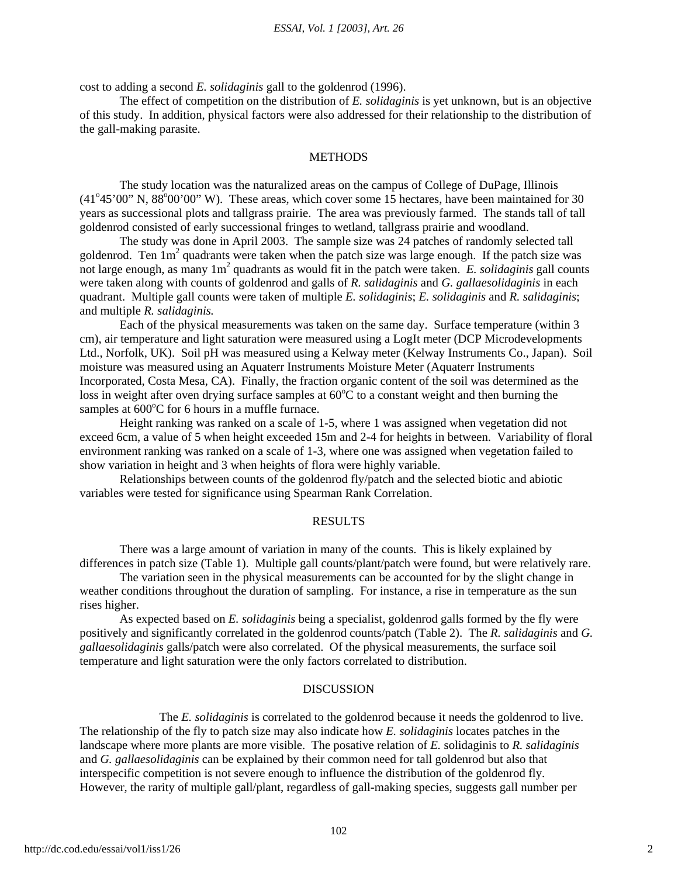cost to adding a second *E. solidaginis* gall to the goldenrod (1996).

The effect of competition on the distribution of *E. solidaginis* is yet unknown, but is an objective of this study. In addition, physical factors were also addressed for their relationship to the distribution of the gall-making parasite.

#### **METHODS**

The study location was the naturalized areas on the campus of College of DuPage, Illinois  $(41°45'00"$  N,  $88°00'00"$  W). These areas, which cover some 15 hectares, have been maintained for 30 years as successional plots and tallgrass prairie. The area was previously farmed. The stands tall of tall goldenrod consisted of early successional fringes to wetland, tallgrass prairie and woodland.

The study was done in April 2003. The sample size was 24 patches of randomly selected tall goldenrod. Ten  $1m^2$  quadrants were taken when the patch size was large enough. If the patch size was not large enough, as many 1m<sup>2</sup> quadrants as would fit in the patch were taken. *E. solidaginis* gall counts were taken along with counts of goldenrod and galls of *R. salidaginis* and *G. gallaesolidaginis* in each quadrant. Multiple gall counts were taken of multiple *E. solidaginis*; *E. solidaginis* and *R. salidaginis*; and multiple *R. salidaginis.*

Each of the physical measurements was taken on the same day. Surface temperature (within 3 cm), air temperature and light saturation were measured using a LogIt meter (DCP Microdevelopments Ltd., Norfolk, UK). Soil pH was measured using a Kelway meter (Kelway Instruments Co., Japan). Soil moisture was measured using an Aquaterr Instruments Moisture Meter (Aquaterr Instruments Incorporated, Costa Mesa, CA). Finally, the fraction organic content of the soil was determined as the loss in weight after oven drying surface samples at  $60^{\circ}$ C to a constant weight and then burning the samples at  $600^{\circ}$ C for 6 hours in a muffle furnace.

Height ranking was ranked on a scale of 1-5, where 1 was assigned when vegetation did not exceed 6cm, a value of 5 when height exceeded 15m and 2-4 for heights in between. Variability of floral environment ranking was ranked on a scale of 1-3, where one was assigned when vegetation failed to show variation in height and 3 when heights of flora were highly variable.

Relationships between counts of the goldenrod fly/patch and the selected biotic and abiotic variables were tested for significance using Spearman Rank Correlation.

#### RESULTS

There was a large amount of variation in many of the counts. This is likely explained by differences in patch size (Table 1). Multiple gall counts/plant/patch were found, but were relatively rare.

The variation seen in the physical measurements can be accounted for by the slight change in weather conditions throughout the duration of sampling. For instance, a rise in temperature as the sun rises higher.

As expected based on *E. solidaginis* being a specialist, goldenrod galls formed by the fly were positively and significantly correlated in the goldenrod counts/patch (Table 2). The *R. salidaginis* and *G. gallaesolidaginis* galls/patch were also correlated. Of the physical measurements, the surface soil temperature and light saturation were the only factors correlated to distribution.

#### DISCUSSION

 The *E. solidaginis* is correlated to the goldenrod because it needs the goldenrod to live. The relationship of the fly to patch size may also indicate how *E. solidaginis* locates patches in the landscape where more plants are more visible. The posative relation of *E.* solidaginis to *R. salidaginis* and *G. gallaesolidaginis* can be explained by their common need for tall goldenrod but also that interspecific competition is not severe enough to influence the distribution of the goldenrod fly. However, the rarity of multiple gall/plant, regardless of gall-making species, suggests gall number per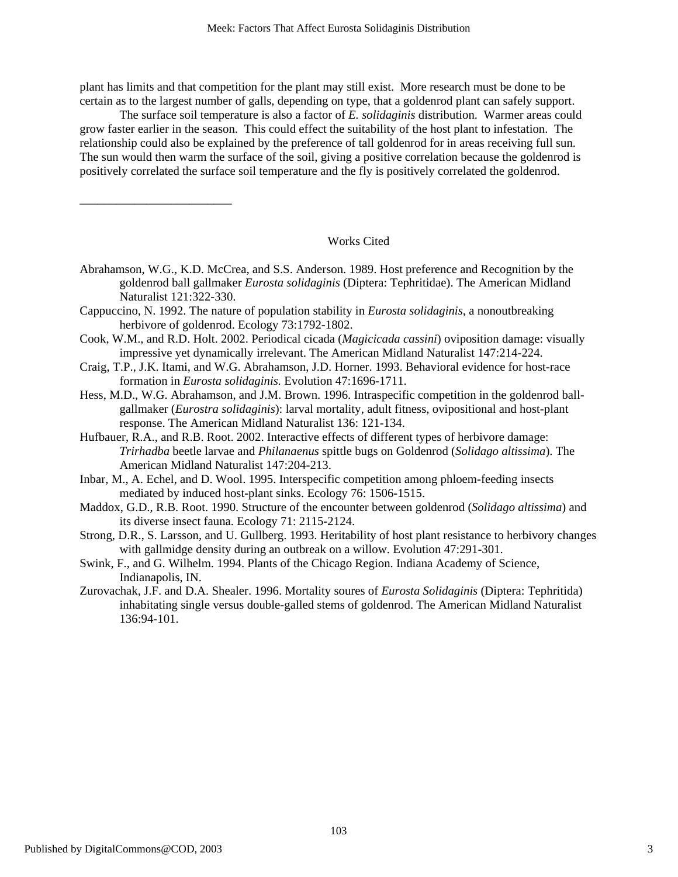plant has limits and that competition for the plant may still exist. More research must be done to be certain as to the largest number of galls, depending on type, that a goldenrod plant can safely support.

The surface soil temperature is also a factor of *E. solidaginis* distribution. Warmer areas could grow faster earlier in the season. This could effect the suitability of the host plant to infestation. The relationship could also be explained by the preference of tall goldenrod for in areas receiving full sun. The sun would then warm the surface of the soil, giving a positive correlation because the goldenrod is positively correlated the surface soil temperature and the fly is positively correlated the goldenrod.

### Works Cited

- Abrahamson, W.G., K.D. McCrea, and S.S. Anderson. 1989. Host preference and Recognition by the goldenrod ball gallmaker *Eurosta solidaginis* (Diptera: Tephritidae). The American Midland Naturalist 121:322-330.
- Cappuccino, N. 1992. The nature of population stability in *Eurosta solidaginis*, a nonoutbreaking herbivore of goldenrod. Ecology 73:1792-1802.
- Cook, W.M., and R.D. Holt. 2002. Periodical cicada (*Magicicada cassini*) oviposition damage: visually impressive yet dynamically irrelevant. The American Midland Naturalist 147:214-224.
- Craig, T.P., J.K. Itami, and W.G. Abrahamson, J.D. Horner. 1993. Behavioral evidence for host-race formation in *Eurosta solidaginis.* Evolution 47:1696-1711.
- Hess, M.D., W.G. Abrahamson, and J.M. Brown. 1996. Intraspecific competition in the goldenrod ballgallmaker (*Eurostra solidaginis*): larval mortality, adult fitness, ovipositional and host-plant response. The American Midland Naturalist 136: 121-134.
- Hufbauer, R.A., and R.B. Root. 2002. Interactive effects of different types of herbivore damage: *Trirhadba* beetle larvae and *Philanaenus* spittle bugs on Goldenrod (*Solidago altissima*). The American Midland Naturalist 147:204-213.
- Inbar, M., A. Echel, and D. Wool. 1995. Interspecific competition among phloem-feeding insects mediated by induced host-plant sinks. Ecology 76: 1506-1515.
- Maddox, G.D., R.B. Root. 1990. Structure of the encounter between goldenrod (*Solidago altissima*) and its diverse insect fauna. Ecology 71: 2115-2124.
- Strong, D.R., S. Larsson, and U. Gullberg. 1993. Heritability of host plant resistance to herbivory changes with gallmidge density during an outbreak on a willow. Evolution 47:291-301.
- Swink, F., and G. Wilhelm. 1994. Plants of the Chicago Region. Indiana Academy of Science, Indianapolis, IN.
- Zurovachak, J.F. and D.A. Shealer. 1996. Mortality soures of *Eurosta Solidaginis* (Diptera: Tephritida) inhabitating single versus double-galled stems of goldenrod. The American Midland Naturalist 136:94-101.

\_\_\_\_\_\_\_\_\_\_\_\_\_\_\_\_\_\_\_\_\_\_\_\_\_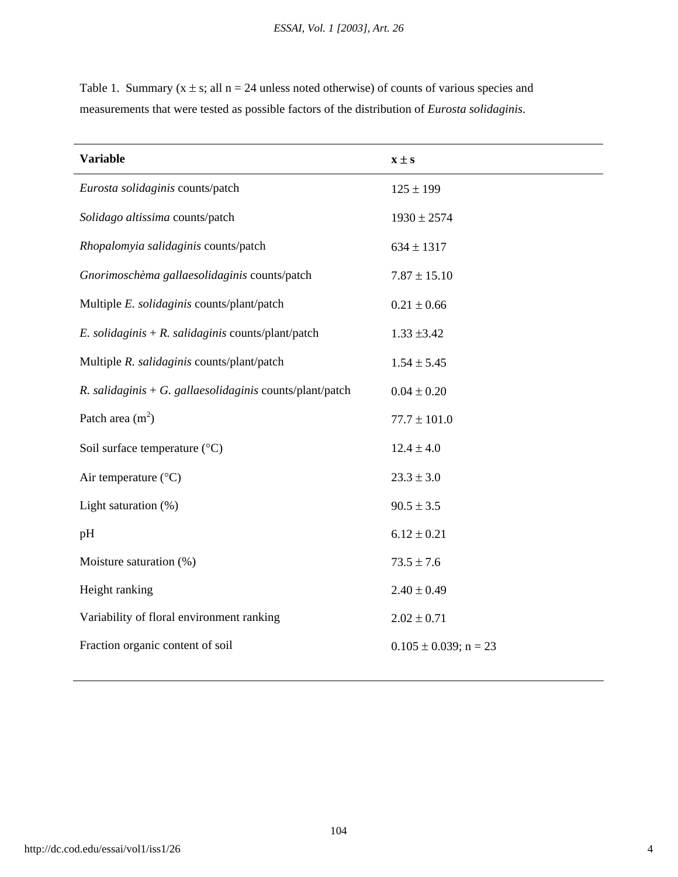| <b>Variable</b>                                          | $x \pm s$        |
|----------------------------------------------------------|------------------|
| Eurosta solidaginis counts/patch                         | $125 \pm 199$    |
| Solidago altissima counts/patch                          | $1930 \pm 2574$  |
| Rhopalomyia salidaginis counts/patch                     | $634 \pm 1317$   |
| Gnorimoschèma gallaesolidaginis counts/patch             | $7.87 \pm 15.10$ |
| Multiple E. solidaginis counts/plant/patch               | $0.21 \pm 0.66$  |
| E. solidaginis + R. salidaginis counts/plant/patch       | $1.33 \pm 3.42$  |
| Multiple R. salidaginis counts/plant/patch               | $1.54 \pm 5.45$  |
| R. salidaginis + G. gallaesolidaginis counts/plant/patch | $0.04 \pm 0.20$  |
| Patch area $(m2)$                                        | $77.7 \pm 101.0$ |
| Soil surface temperature $({}^{\circ}C)$                 | $12.4 \pm 4.0$   |

Table 1. Summary  $(x \pm s;$  all  $n = 24$  unless noted otherwise) of counts of various species and measurements that were tested as possible factors of the distribution of *Eurosta solidaginis*.

| Light saturation $(\%)$                   | $90.5 \pm 3.5$             |  |
|-------------------------------------------|----------------------------|--|
| pH                                        | $6.12 \pm 0.21$            |  |
| Moisture saturation (%)                   | $73.5 \pm 7.6$             |  |
| Height ranking                            | $2.40 \pm 0.49$            |  |
| Variability of floral environment ranking | $2.02 \pm 0.71$            |  |
| Fraction organic content of soil          | $0.105 \pm 0.039$ ; n = 23 |  |

Air temperature ( $^{\circ}$ C) 23.3 ± 3.0